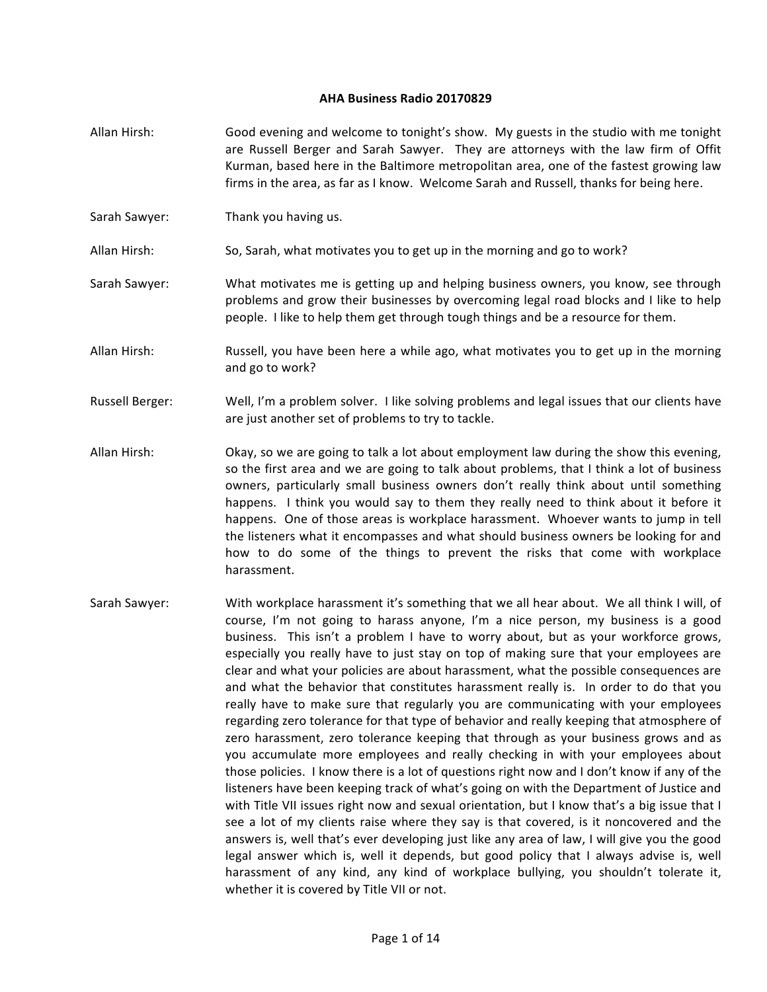## **AHA Business Radio 20170829**

- Allan Hirsh: Good evening and welcome to tonight's show. My guests in the studio with me tonight are Russell Berger and Sarah Sawyer. They are attorneys with the law firm of Offit Kurman, based here in the Baltimore metropolitan area, one of the fastest growing law firms in the area, as far as I know. Welcome Sarah and Russell, thanks for being here.
- Sarah Sawyer: Thank you having us.
- Allan Hirsh: So, Sarah, what motivates you to get up in the morning and go to work?
- Sarah Sawyer: What motivates me is getting up and helping business owners, you know, see through problems and grow their businesses by overcoming legal road blocks and I like to help people. I like to help them get through tough things and be a resource for them.
- Allan Hirsh: Russell, you have been here a while ago, what motivates you to get up in the morning and go to work?
- Russell Berger: Well, I'm a problem solver. I like solving problems and legal issues that our clients have are just another set of problems to try to tackle.
- Allan Hirsh: Okay, so we are going to talk a lot about employment law during the show this evening, so the first area and we are going to talk about problems, that I think a lot of business owners, particularly small business owners don't really think about until something happens. I think you would say to them they really need to think about it before it happens. One of those areas is workplace harassment. Whoever wants to jump in tell the listeners what it encompasses and what should business owners be looking for and how to do some of the things to prevent the risks that come with workplace harassment.
- Sarah Sawyer: With workplace harassment it's something that we all hear about. We all think I will, of course, I'm not going to harass anyone, I'm a nice person, my business is a good business. This isn't a problem I have to worry about, but as your workforce grows, especially you really have to just stay on top of making sure that your employees are clear and what your policies are about harassment, what the possible consequences are and what the behavior that constitutes harassment really is. In order to do that you really have to make sure that regularly you are communicating with your employees regarding zero tolerance for that type of behavior and really keeping that atmosphere of zero harassment, zero tolerance keeping that through as your business grows and as you accumulate more employees and really checking in with your employees about those policies. I know there is a lot of questions right now and I don't know if any of the listeners have been keeping track of what's going on with the Department of Justice and with Title VII issues right now and sexual orientation, but I know that's a big issue that I see a lot of my clients raise where they say is that covered, is it noncovered and the answers is, well that's ever developing just like any area of law, I will give you the good legal answer which is, well it depends, but good policy that I always advise is, well harassment of any kind, any kind of workplace bullying, you shouldn't tolerate it, whether it is covered by Title VII or not.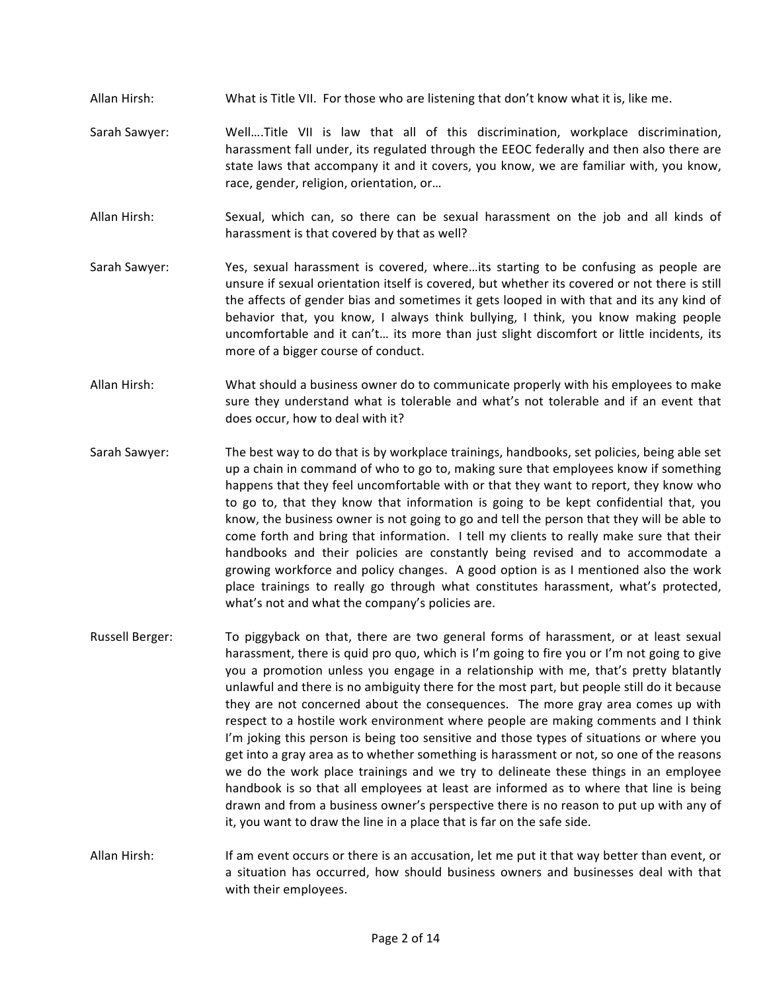- Allan Hirsh: What is Title VII. For those who are listening that don't know what it is, like me.
- Sarah Sawyer: Well....Title VII is law that all of this discrimination, workplace discrimination, harassment fall under, its regulated through the EEOC federally and then also there are state laws that accompany it and it covers, you know, we are familiar with, you know, race, gender, religion, orientation, or...
- Allan Hirsh: Sexual, which can, so there can be sexual harassment on the job and all kinds of harassment is that covered by that as well?
- Sarah Sawyer: Yes, sexual harassment is covered, where...its starting to be confusing as people are unsure if sexual orientation itself is covered, but whether its covered or not there is still the affects of gender bias and sometimes it gets looped in with that and its any kind of behavior that, you know, I always think bullying, I think, you know making people uncomfortable and it can't... its more than just slight discomfort or little incidents, its more of a bigger course of conduct.
- Allan Hirsh: What should a business owner do to communicate properly with his employees to make sure they understand what is tolerable and what's not tolerable and if an event that does occur, how to deal with it?
- Sarah Sawyer: The best way to do that is by workplace trainings, handbooks, set policies, being able set up a chain in command of who to go to, making sure that employees know if something happens that they feel uncomfortable with or that they want to report, they know who to go to, that they know that information is going to be kept confidential that, you know, the business owner is not going to go and tell the person that they will be able to come forth and bring that information. I tell my clients to really make sure that their handbooks and their policies are constantly being revised and to accommodate a growing workforce and policy changes. A good option is as I mentioned also the work place trainings to really go through what constitutes harassment, what's protected, what's not and what the company's policies are.
- Russell Berger: To piggyback on that, there are two general forms of harassment, or at least sexual harassment, there is quid pro quo, which is I'm going to fire you or I'm not going to give you a promotion unless you engage in a relationship with me, that's pretty blatantly unlawful and there is no ambiguity there for the most part, but people still do it because they are not concerned about the consequences. The more gray area comes up with respect to a hostile work environment where people are making comments and I think I'm joking this person is being too sensitive and those types of situations or where you get into a gray area as to whether something is harassment or not, so one of the reasons we do the work place trainings and we try to delineate these things in an employee handbook is so that all employees at least are informed as to where that line is being drawn and from a business owner's perspective there is no reason to put up with any of it, you want to draw the line in a place that is far on the safe side.
- Allan Hirsh: If am event occurs or there is an accusation, let me put it that way better than event, or a situation has occurred, how should business owners and businesses deal with that with their employees.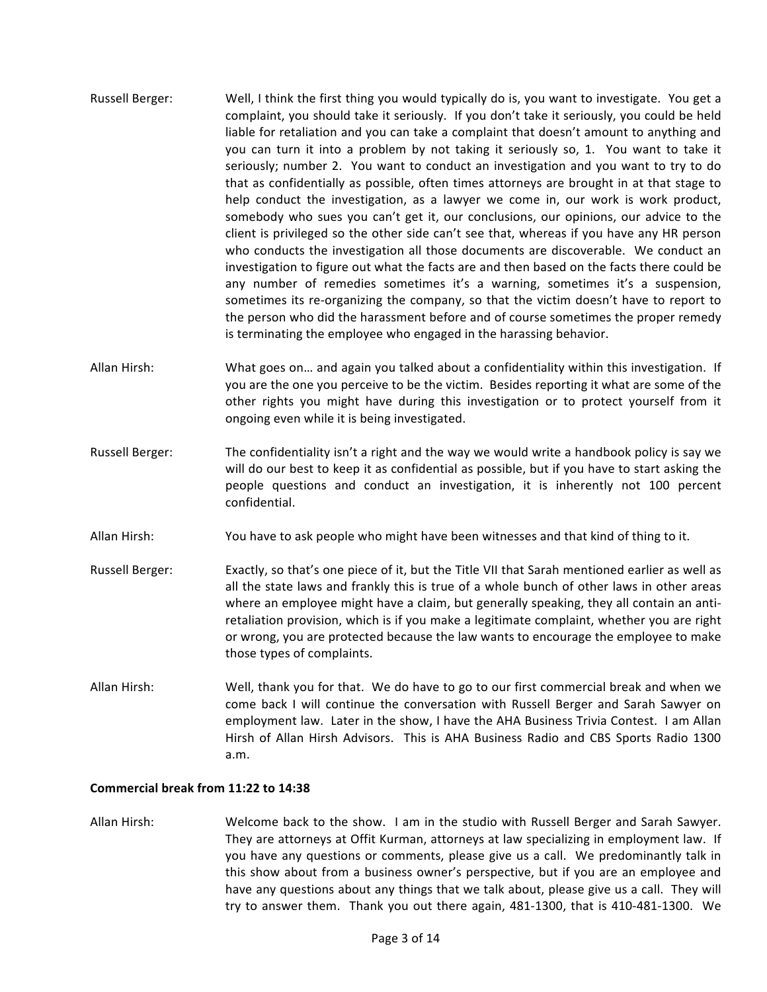- Russell Berger: Well, I think the first thing you would typically do is, you want to investigate. You get a complaint, you should take it seriously. If you don't take it seriously, you could be held liable for retaliation and you can take a complaint that doesn't amount to anything and you can turn it into a problem by not taking it seriously so, 1. You want to take it seriously; number 2. You want to conduct an investigation and you want to try to do that as confidentially as possible, often times attorneys are brought in at that stage to help conduct the investigation, as a lawyer we come in, our work is work product, somebody who sues you can't get it, our conclusions, our opinions, our advice to the client is privileged so the other side can't see that, whereas if you have any HR person who conducts the investigation all those documents are discoverable. We conduct an investigation to figure out what the facts are and then based on the facts there could be any number of remedies sometimes it's a warning, sometimes it's a suspension, sometimes its re-organizing the company, so that the victim doesn't have to report to the person who did the harassment before and of course sometimes the proper remedy is terminating the employee who engaged in the harassing behavior.
- Allan Hirsh: What goes on... and again you talked about a confidentiality within this investigation. If you are the one you perceive to be the victim. Besides reporting it what are some of the other rights you might have during this investigation or to protect yourself from it ongoing even while it is being investigated.
- Russell Berger: The confidentiality isn't a right and the way we would write a handbook policy is say we will do our best to keep it as confidential as possible, but if you have to start asking the people questions and conduct an investigation, it is inherently not 100 percent confidential.
- Allan Hirsh: You have to ask people who might have been witnesses and that kind of thing to it.
- Russell Berger: Exactly, so that's one piece of it, but the Title VII that Sarah mentioned earlier as well as all the state laws and frankly this is true of a whole bunch of other laws in other areas where an employee might have a claim, but generally speaking, they all contain an antiretaliation provision, which is if you make a legitimate complaint, whether you are right or wrong, you are protected because the law wants to encourage the employee to make those types of complaints.
- Allan Hirsh: Well, thank you for that. We do have to go to our first commercial break and when we come back I will continue the conversation with Russell Berger and Sarah Sawyer on employment law. Later in the show, I have the AHA Business Trivia Contest. I am Allan Hirsh of Allan Hirsh Advisors. This is AHA Business Radio and CBS Sports Radio 1300 a.m.

## **Commercial break from 11:22 to 14:38**

Allan Hirsh: Welcome back to the show. I am in the studio with Russell Berger and Sarah Sawyer. They are attorneys at Offit Kurman, attorneys at law specializing in employment law. If you have any questions or comments, please give us a call. We predominantly talk in this show about from a business owner's perspective, but if you are an employee and have any questions about any things that we talk about, please give us a call. They will try to answer them. Thank you out there again, 481-1300, that is 410-481-1300. We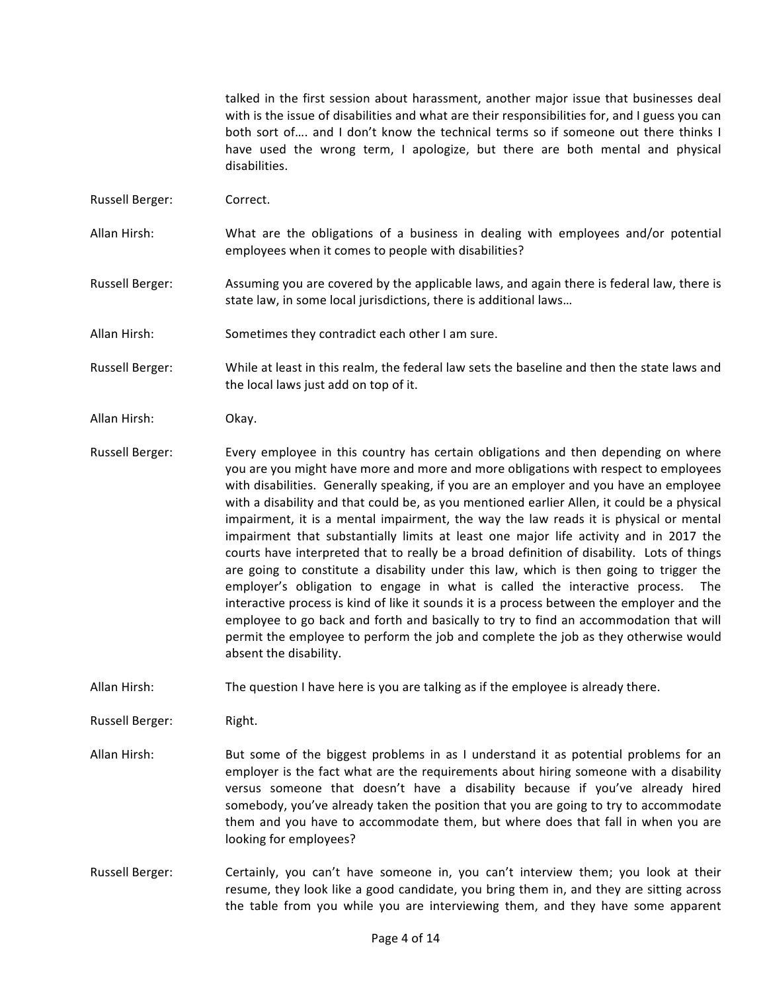talked in the first session about harassment, another major issue that businesses deal with is the issue of disabilities and what are their responsibilities for, and I guess you can both sort of.... and I don't know the technical terms so if someone out there thinks I have used the wrong term, I apologize, but there are both mental and physical disabilities.

- Russell Berger: Correct.
- Allan Hirsh: What are the obligations of a business in dealing with employees and/or potential employees when it comes to people with disabilities?
- Russell Berger: Assuming you are covered by the applicable laws, and again there is federal law, there is state law, in some local jurisdictions, there is additional laws...
- Allan Hirsh: Sometimes they contradict each other I am sure.
- Russell Berger: While at least in this realm, the federal law sets the baseline and then the state laws and the local laws just add on top of it.
- Allan Hirsh: Okay.
- Russell Berger: Every employee in this country has certain obligations and then depending on where you are you might have more and more and more obligations with respect to employees with disabilities. Generally speaking, if you are an employer and you have an employee with a disability and that could be, as you mentioned earlier Allen, it could be a physical impairment, it is a mental impairment, the way the law reads it is physical or mental impairment that substantially limits at least one major life activity and in 2017 the courts have interpreted that to really be a broad definition of disability. Lots of things are going to constitute a disability under this law, which is then going to trigger the employer's obligation to engage in what is called the interactive process. The interactive process is kind of like it sounds it is a process between the employer and the employee to go back and forth and basically to try to find an accommodation that will permit the employee to perform the job and complete the job as they otherwise would absent the disability.
- Allan Hirsh: The question I have here is you are talking as if the employee is already there.

Russell Berger: Right.

- Allan Hirsh: But some of the biggest problems in as I understand it as potential problems for an employer is the fact what are the requirements about hiring someone with a disability versus someone that doesn't have a disability because if you've already hired somebody, you've already taken the position that you are going to try to accommodate them and you have to accommodate them, but where does that fall in when you are looking for employees?
- Russell Berger: Certainly, you can't have someone in, you can't interview them; you look at their resume, they look like a good candidate, you bring them in, and they are sitting across the table from you while you are interviewing them, and they have some apparent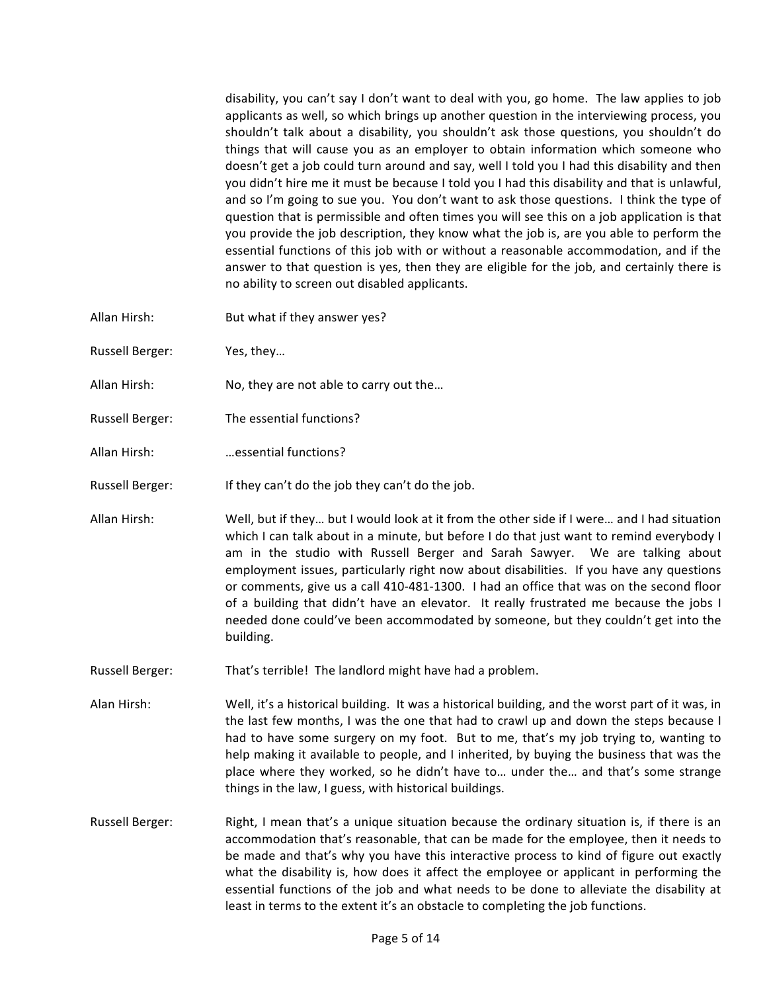disability, you can't say I don't want to deal with you, go home. The law applies to job applicants as well, so which brings up another question in the interviewing process, you shouldn't talk about a disability, you shouldn't ask those questions, you shouldn't do things that will cause you as an employer to obtain information which someone who doesn't get a job could turn around and say, well I told you I had this disability and then you didn't hire me it must be because I told you I had this disability and that is unlawful, and so I'm going to sue you. You don't want to ask those questions. I think the type of question that is permissible and often times you will see this on a job application is that you provide the job description, they know what the job is, are you able to perform the essential functions of this job with or without a reasonable accommodation, and if the answer to that question is yes, then they are eligible for the job, and certainly there is no ability to screen out disabled applicants.

- Allan Hirsh: But what if they answer yes?
- Russell Berger: Yes, they...
- Allan Hirsh: No, they are not able to carry out the...
- Russell Berger: The essential functions?
- Allan Hirsh: …essential functions?
- Russell Berger: If they can't do the job they can't do the job.
- Allan Hirsh: Well, but if they... but I would look at it from the other side if I were... and I had situation which I can talk about in a minute, but before I do that just want to remind everybody I am in the studio with Russell Berger and Sarah Sawyer. We are talking about employment issues, particularly right now about disabilities. If you have any questions or comments, give us a call 410-481-1300. I had an office that was on the second floor of a building that didn't have an elevator. It really frustrated me because the jobs I needed done could've been accommodated by someone, but they couldn't get into the building.
- Russell Berger: That's terrible! The landlord might have had a problem.
- Alan Hirsh: Well, it's a historical building. It was a historical building, and the worst part of it was, in the last few months, I was the one that had to crawl up and down the steps because I had to have some surgery on my foot. But to me, that's my job trying to, wanting to help making it available to people, and I inherited, by buying the business that was the place where they worked, so he didn't have to... under the... and that's some strange things in the law, I guess, with historical buildings.
- Russell Berger: Right, I mean that's a unique situation because the ordinary situation is, if there is an accommodation that's reasonable, that can be made for the employee, then it needs to be made and that's why you have this interactive process to kind of figure out exactly what the disability is, how does it affect the employee or applicant in performing the essential functions of the job and what needs to be done to alleviate the disability at least in terms to the extent it's an obstacle to completing the job functions.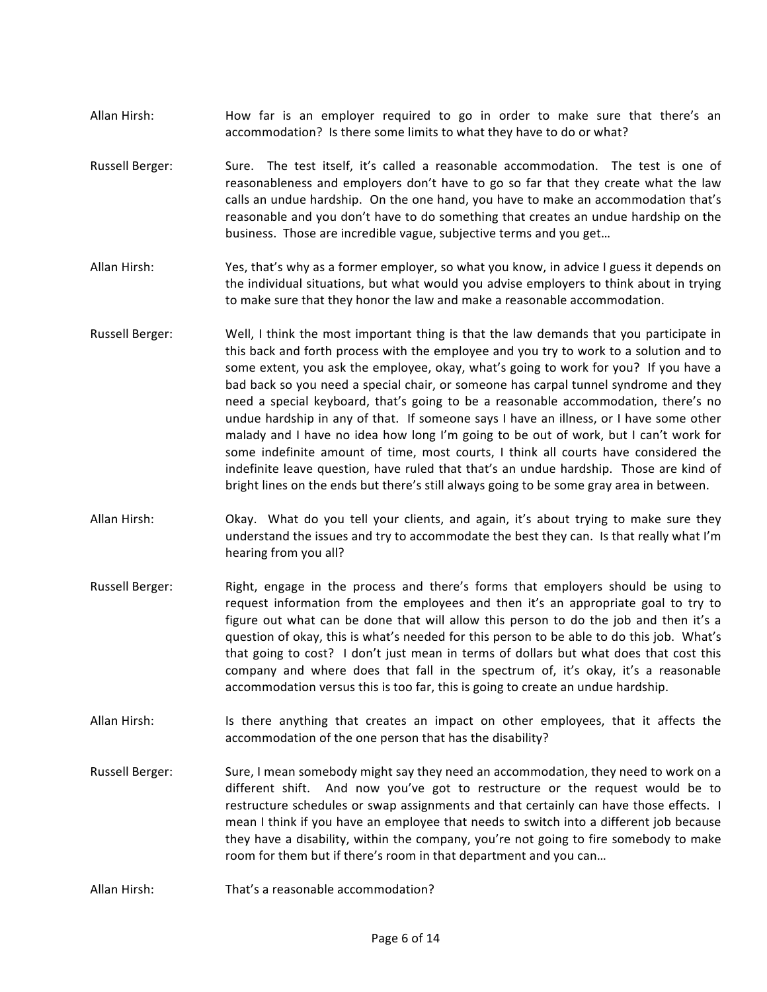- Allan Hirsh: How far is an employer required to go in order to make sure that there's an accommodation? Is there some limits to what they have to do or what?
- Russell Berger: Sure. The test itself, it's called a reasonable accommodation. The test is one of reasonableness and employers don't have to go so far that they create what the law calls an undue hardship. On the one hand, you have to make an accommodation that's reasonable and you don't have to do something that creates an undue hardship on the business. Those are incredible vague, subjective terms and you get...
- Allan Hirsh: Yes, that's why as a former employer, so what you know, in advice I guess it depends on the individual situations, but what would you advise employers to think about in trying to make sure that they honor the law and make a reasonable accommodation.
- Russell Berger: Well, I think the most important thing is that the law demands that you participate in this back and forth process with the employee and you try to work to a solution and to some extent, you ask the employee, okay, what's going to work for you? If you have a bad back so you need a special chair, or someone has carpal tunnel syndrome and they need a special keyboard, that's going to be a reasonable accommodation, there's no undue hardship in any of that. If someone says I have an illness, or I have some other malady and I have no idea how long I'm going to be out of work, but I can't work for some indefinite amount of time, most courts, I think all courts have considered the indefinite leave question, have ruled that that's an undue hardship. Those are kind of bright lines on the ends but there's still always going to be some gray area in between.
- Allan Hirsh: Okay. What do you tell your clients, and again, it's about trying to make sure they understand the issues and try to accommodate the best they can. Is that really what I'm hearing from you all?
- Russell Berger: Right, engage in the process and there's forms that employers should be using to request information from the employees and then it's an appropriate goal to try to figure out what can be done that will allow this person to do the job and then it's a question of okay, this is what's needed for this person to be able to do this job. What's that going to cost? I don't just mean in terms of dollars but what does that cost this company and where does that fall in the spectrum of, it's okay, it's a reasonable accommodation versus this is too far, this is going to create an undue hardship.
- Allan Hirsh: Is there anything that creates an impact on other employees, that it affects the accommodation of the one person that has the disability?
- Russell Berger: Sure, I mean somebody might say they need an accommodation, they need to work on a different shift. And now you've got to restructure or the request would be to restructure schedules or swap assignments and that certainly can have those effects. I mean I think if you have an employee that needs to switch into a different job because they have a disability, within the company, you're not going to fire somebody to make room for them but if there's room in that department and you can...
- Allan Hirsh: That's a reasonable accommodation?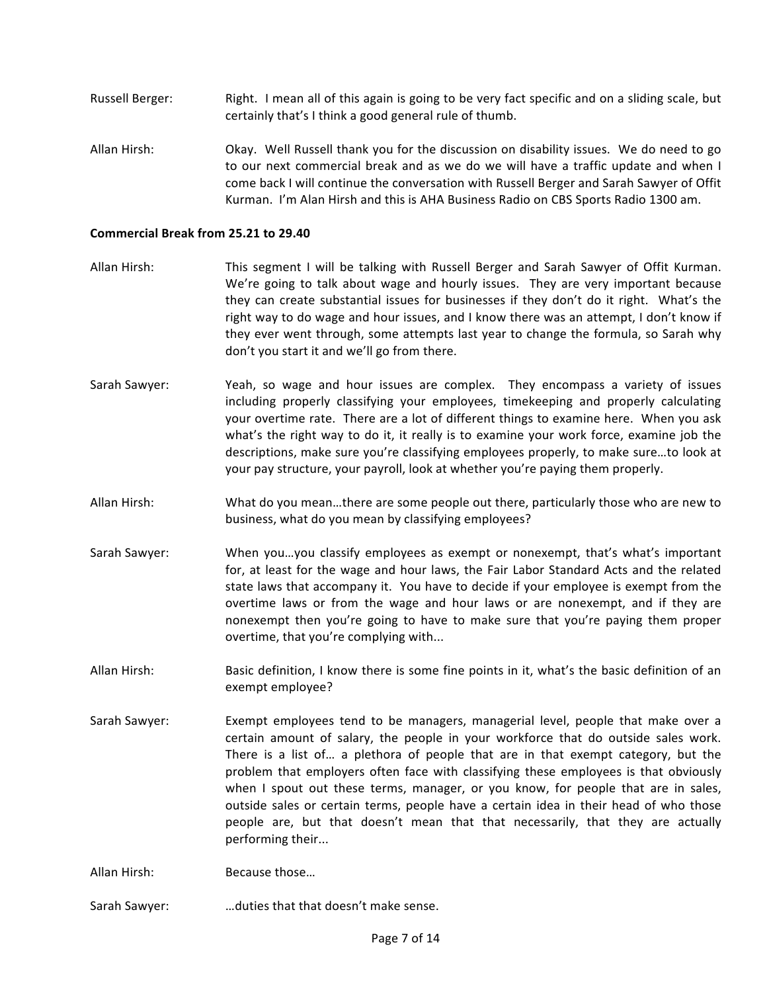- Russell Berger: Right. I mean all of this again is going to be very fact specific and on a sliding scale, but certainly that's I think a good general rule of thumb.
- Allan Hirsh: Okay. Well Russell thank you for the discussion on disability issues. We do need to go to our next commercial break and as we do we will have a traffic update and when I come back I will continue the conversation with Russell Berger and Sarah Sawyer of Offit Kurman. I'm Alan Hirsh and this is AHA Business Radio on CBS Sports Radio 1300 am.

## **Commercial Break from 25.21 to 29.40**

- Allan Hirsh: This segment I will be talking with Russell Berger and Sarah Sawyer of Offit Kurman. We're going to talk about wage and hourly issues. They are very important because they can create substantial issues for businesses if they don't do it right. What's the right way to do wage and hour issues, and I know there was an attempt, I don't know if they ever went through, some attempts last year to change the formula, so Sarah why don't you start it and we'll go from there.
- Sarah Sawyer: Yeah, so wage and hour issues are complex. They encompass a variety of issues including properly classifying your employees, timekeeping and properly calculating your overtime rate. There are a lot of different things to examine here. When you ask what's the right way to do it, it really is to examine your work force, examine job the descriptions, make sure you're classifying employees properly, to make sure...to look at your pay structure, your payroll, look at whether you're paying them properly.
- Allan Hirsh: What do you mean...there are some people out there, particularly those who are new to business, what do you mean by classifying employees?
- Sarah Sawyer: When you...you classify employees as exempt or nonexempt, that's what's important for, at least for the wage and hour laws, the Fair Labor Standard Acts and the related state laws that accompany it. You have to decide if your employee is exempt from the overtime laws or from the wage and hour laws or are nonexempt, and if they are nonexempt then you're going to have to make sure that you're paying them proper overtime, that you're complying with...
- Allan Hirsh: Basic definition, I know there is some fine points in it, what's the basic definition of an exempt employee?
- Sarah Sawyer: Exempt employees tend to be managers, managerial level, people that make over a certain amount of salary, the people in your workforce that do outside sales work. There is a list of... a plethora of people that are in that exempt category, but the problem that employers often face with classifying these employees is that obviously when I spout out these terms, manager, or you know, for people that are in sales, outside sales or certain terms, people have a certain idea in their head of who those people are, but that doesn't mean that that necessarily, that they are actually performing their...

Allan Hirsh: Because those...

Sarah Sawyer: …duties that that doesn't make sense.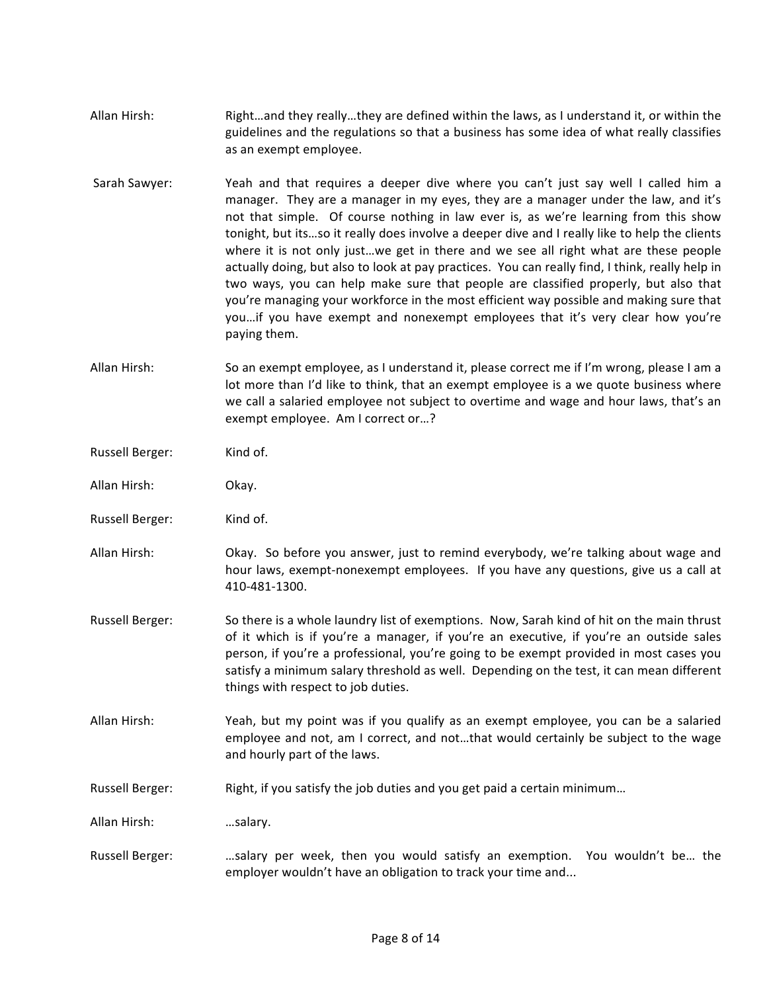- Allan Hirsh: Right...and they really...they are defined within the laws, as I understand it, or within the guidelines and the regulations so that a business has some idea of what really classifies as an exempt employee.
- Sarah Sawyer: Yeah and that requires a deeper dive where you can't just say well I called him a manager. They are a manager in my eyes, they are a manager under the law, and it's not that simple. Of course nothing in law ever is, as we're learning from this show tonight, but its...so it really does involve a deeper dive and I really like to help the clients where it is not only just...we get in there and we see all right what are these people actually doing, but also to look at pay practices. You can really find, I think, really help in two ways, you can help make sure that people are classified properly, but also that you're managing your workforce in the most efficient way possible and making sure that you...if you have exempt and nonexempt employees that it's very clear how you're paying them.
- Allan Hirsh: So an exempt employee, as I understand it, please correct me if I'm wrong, please I am a lot more than I'd like to think, that an exempt employee is a we quote business where we call a salaried employee not subject to overtime and wage and hour laws, that's an exempt employee. Am I correct or...?
- Russell Berger: Kind of.
- Allan Hirsh: Okay.
- Russell Berger: Kind of.
- Allan Hirsh: Okay. So before you answer, just to remind everybody, we're talking about wage and hour laws, exempt-nonexempt employees. If you have any questions, give us a call at 410-481-1300.
- Russell Berger: So there is a whole laundry list of exemptions. Now, Sarah kind of hit on the main thrust of it which is if you're a manager, if you're an executive, if you're an outside sales person, if you're a professional, you're going to be exempt provided in most cases you satisfy a minimum salary threshold as well. Depending on the test, it can mean different things with respect to job duties.
- Allan Hirsh: Yeah, but my point was if you qualify as an exempt employee, you can be a salaried employee and not, am I correct, and not...that would certainly be subject to the wage and hourly part of the laws.
- Russell Berger: Right, if you satisfy the job duties and you get paid a certain minimum...

Allan Hirsh: …salary.

Russell Berger: . ...... salary per week, then you would satisfy an exemption. You wouldn't be... the employer wouldn't have an obligation to track your time and...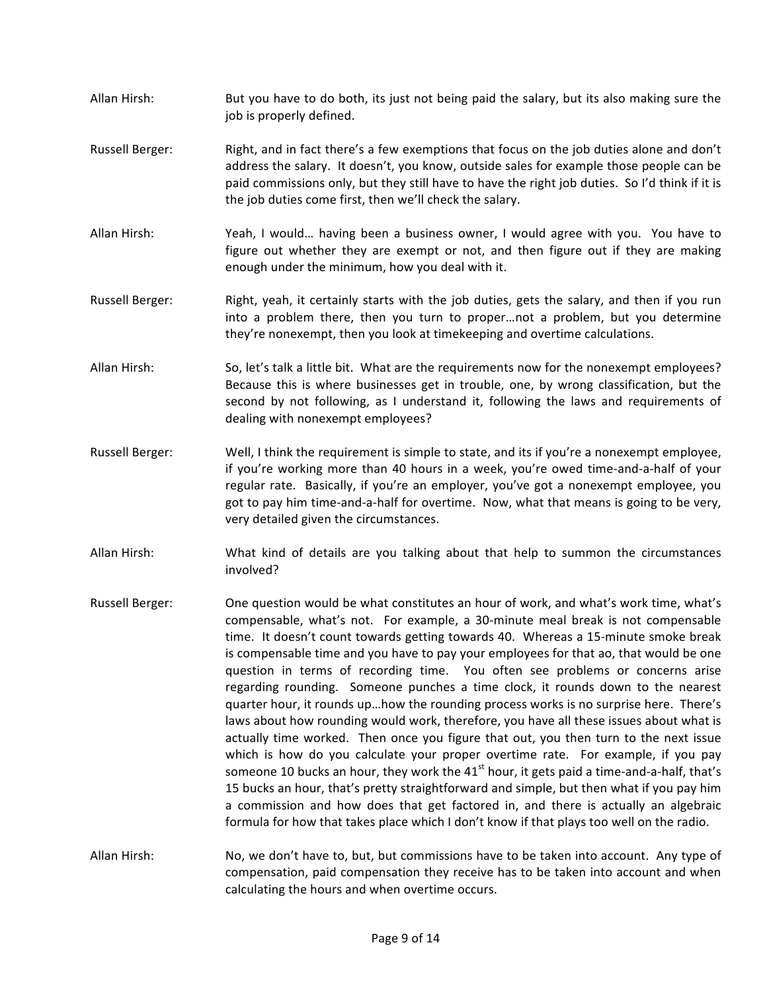- Allan Hirsh: But you have to do both, its just not being paid the salary, but its also making sure the job is properly defined.
- Russell Berger: Right, and in fact there's a few exemptions that focus on the job duties alone and don't address the salary. It doesn't, you know, outside sales for example those people can be paid commissions only, but they still have to have the right job duties. So I'd think if it is the job duties come first, then we'll check the salary.
- Allan Hirsh: Yeah, I would... having been a business owner, I would agree with you. You have to figure out whether they are exempt or not, and then figure out if they are making enough under the minimum, how you deal with it.
- Russell Berger: Right, yeah, it certainly starts with the job duties, gets the salary, and then if you run into a problem there, then you turn to proper...not a problem, but you determine they're nonexempt, then you look at timekeeping and overtime calculations.
- Allan Hirsh: So, let's talk a little bit. What are the requirements now for the nonexempt employees? Because this is where businesses get in trouble, one, by wrong classification, but the second by not following, as I understand it, following the laws and requirements of dealing with nonexempt employees?
- Russell Berger: Well, I think the requirement is simple to state, and its if you're a nonexempt employee, if you're working more than 40 hours in a week, you're owed time-and-a-half of your regular rate. Basically, if you're an employer, you've got a nonexempt employee, you got to pay him time-and-a-half for overtime. Now, what that means is going to be very, very detailed given the circumstances.
- Allan Hirsh: What kind of details are you talking about that help to summon the circumstances involved?
- Russell Berger: One question would be what constitutes an hour of work, and what's work time, what's compensable, what's not. For example, a 30-minute meal break is not compensable time. It doesn't count towards getting towards 40. Whereas a 15-minute smoke break is compensable time and you have to pay your employees for that ao, that would be one question in terms of recording time. You often see problems or concerns arise regarding rounding. Someone punches a time clock, it rounds down to the nearest guarter hour, it rounds up...how the rounding process works is no surprise here. There's laws about how rounding would work, therefore, you have all these issues about what is actually time worked. Then once you figure that out, you then turn to the next issue which is how do you calculate your proper overtime rate. For example, if you pay someone 10 bucks an hour, they work the  $41<sup>st</sup>$  hour, it gets paid a time-and-a-half, that's 15 bucks an hour, that's pretty straightforward and simple, but then what if you pay him a commission and how does that get factored in, and there is actually an algebraic formula for how that takes place which I don't know if that plays too well on the radio.
- Allan Hirsh: No, we don't have to, but, but commissions have to be taken into account. Any type of compensation, paid compensation they receive has to be taken into account and when calculating the hours and when overtime occurs.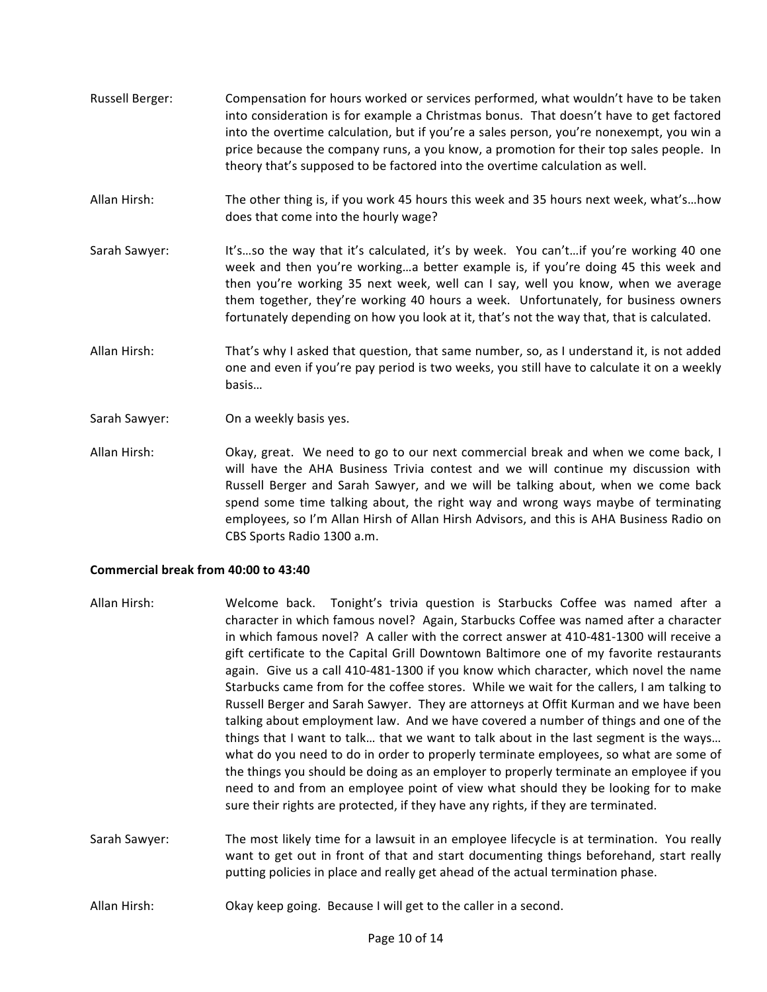- Russell Berger: Compensation for hours worked or services performed, what wouldn't have to be taken into consideration is for example a Christmas bonus. That doesn't have to get factored into the overtime calculation, but if you're a sales person, you're nonexempt, you win a price because the company runs, a you know, a promotion for their top sales people. In theory that's supposed to be factored into the overtime calculation as well.
- Allan Hirsh: The other thing is, if you work 45 hours this week and 35 hours next week, what's...how does that come into the hourly wage?
- Sarah Sawyer: It's ... so the way that it's calculated, it's by week. You can't... if you're working 40 one week and then you're working...a better example is, if you're doing 45 this week and then you're working 35 next week, well can I say, well you know, when we average them together, they're working 40 hours a week. Unfortunately, for business owners fortunately depending on how you look at it, that's not the way that, that is calculated.
- Allan Hirsh: That's why I asked that question, that same number, so, as I understand it, is not added one and even if you're pay period is two weeks, you still have to calculate it on a weekly basis…
- Sarah Sawyer: On a weekly basis yes.
- Allan Hirsh: Okay, great. We need to go to our next commercial break and when we come back, I will have the AHA Business Trivia contest and we will continue my discussion with Russell Berger and Sarah Sawyer, and we will be talking about, when we come back spend some time talking about, the right way and wrong ways maybe of terminating employees, so I'm Allan Hirsh of Allan Hirsh Advisors, and this is AHA Business Radio on CBS Sports Radio 1300 a.m.

## **Commercial break from 40:00 to 43:40**

- Allan Hirsh: Welcome back. Tonight's trivia question is Starbucks Coffee was named after a character in which famous novel? Again, Starbucks Coffee was named after a character in which famous novel? A caller with the correct answer at 410-481-1300 will receive a gift certificate to the Capital Grill Downtown Baltimore one of my favorite restaurants again. Give us a call 410-481-1300 if you know which character, which novel the name Starbucks came from for the coffee stores. While we wait for the callers, I am talking to Russell Berger and Sarah Sawyer. They are attorneys at Offit Kurman and we have been talking about employment law. And we have covered a number of things and one of the things that I want to talk... that we want to talk about in the last segment is the ways... what do you need to do in order to properly terminate employees, so what are some of the things you should be doing as an employer to properly terminate an employee if you need to and from an employee point of view what should they be looking for to make sure their rights are protected, if they have any rights, if they are terminated.
- Sarah Sawyer: The most likely time for a lawsuit in an employee lifecycle is at termination. You really want to get out in front of that and start documenting things beforehand, start really putting policies in place and really get ahead of the actual termination phase.
- Allan Hirsh: Okay keep going. Because I will get to the caller in a second.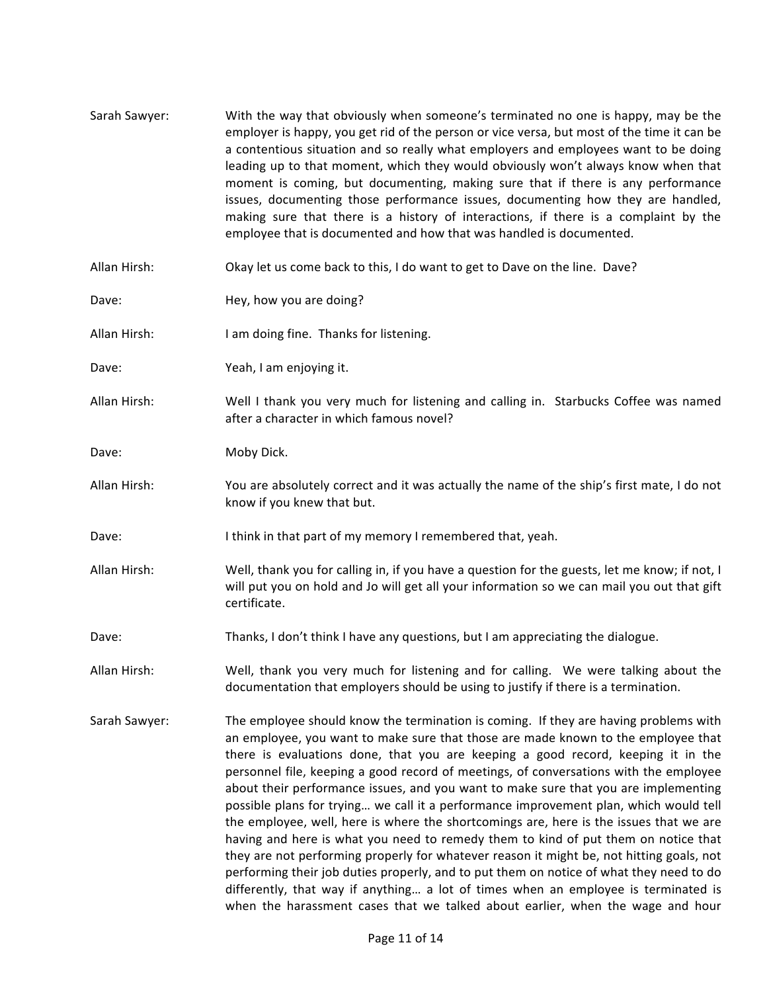Sarah Sawyer: With the way that obviously when someone's terminated no one is happy, may be the employer is happy, you get rid of the person or vice versa, but most of the time it can be a contentious situation and so really what employers and employees want to be doing leading up to that moment, which they would obviously won't always know when that moment is coming, but documenting, making sure that if there is any performance issues, documenting those performance issues, documenting how they are handled, making sure that there is a history of interactions, if there is a complaint by the employee that is documented and how that was handled is documented. Allan Hirsh: Okay let us come back to this, I do want to get to Dave on the line. Dave? Dave: Hey, how you are doing? Allan Hirsh: I am doing fine. Thanks for listening. Dave: Veah, I am enjoying it. Allan Hirsh: Well I thank you very much for listening and calling in. Starbucks Coffee was named after a character in which famous novel? Dave: Moby Dick. Allan Hirsh: You are absolutely correct and it was actually the name of the ship's first mate, I do not know if you knew that but. Dave: I think in that part of my memory I remembered that, yeah. Allan Hirsh: Well, thank you for calling in, if you have a question for the guests, let me know; if not, I will put you on hold and Jo will get all your information so we can mail you out that gift certificate. Dave: Thanks, I don't think I have any questions, but I am appreciating the dialogue. Allan Hirsh: Well, thank you very much for listening and for calling. We were talking about the documentation that employers should be using to justify if there is a termination. Sarah Sawyer: The employee should know the termination is coming. If they are having problems with an employee, you want to make sure that those are made known to the employee that there is evaluations done, that you are keeping a good record, keeping it in the personnel file, keeping a good record of meetings, of conversations with the employee about their performance issues, and you want to make sure that you are implementing possible plans for trying... we call it a performance improvement plan, which would tell the employee, well, here is where the shortcomings are, here is the issues that we are having and here is what you need to remedy them to kind of put them on notice that they are not performing properly for whatever reason it might be, not hitting goals, not performing their job duties properly, and to put them on notice of what they need to do differently, that way if anything... a lot of times when an employee is terminated is when the harassment cases that we talked about earlier, when the wage and hour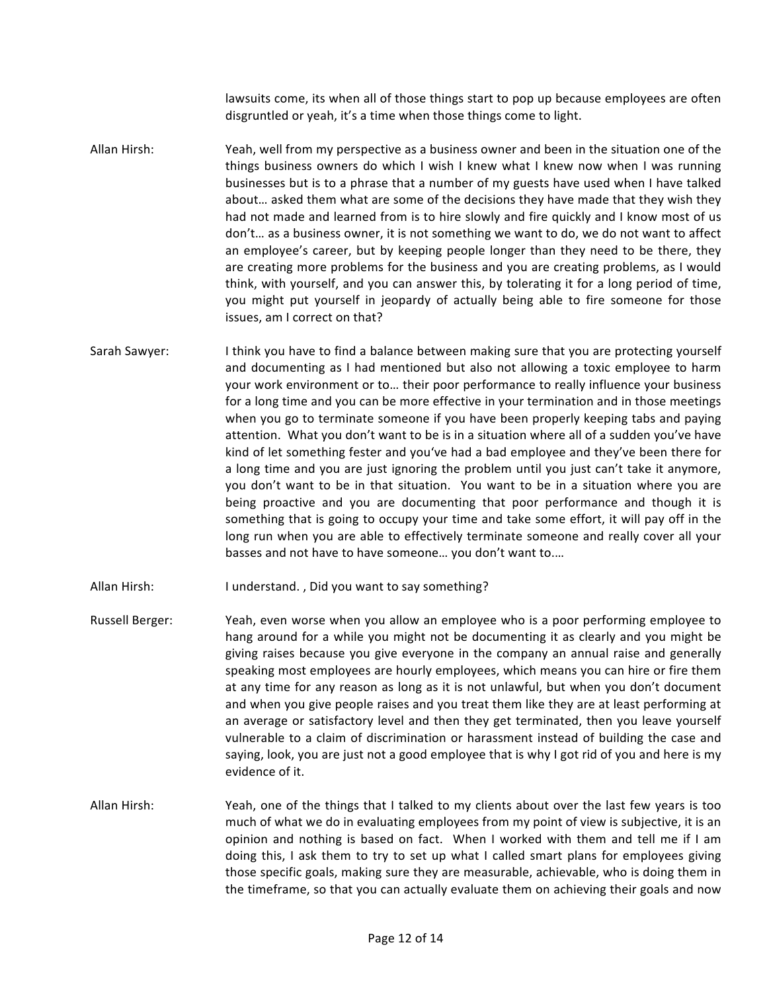lawsuits come, its when all of those things start to pop up because employees are often disgruntled or yeah, it's a time when those things come to light.

Allan Hirsh: Yeah, well from my perspective as a business owner and been in the situation one of the things business owners do which I wish I knew what I knew now when I was running businesses but is to a phrase that a number of my guests have used when I have talked about... asked them what are some of the decisions they have made that they wish they had not made and learned from is to hire slowly and fire quickly and I know most of us don't... as a business owner, it is not something we want to do, we do not want to affect an employee's career, but by keeping people longer than they need to be there, they are creating more problems for the business and you are creating problems, as I would think, with yourself, and you can answer this, by tolerating it for a long period of time, you might put yourself in jeopardy of actually being able to fire someone for those issues, am I correct on that?

Sarah Sawyer: I think you have to find a balance between making sure that you are protecting yourself and documenting as I had mentioned but also not allowing a toxic employee to harm your work environment or to... their poor performance to really influence your business for a long time and you can be more effective in your termination and in those meetings when you go to terminate someone if you have been properly keeping tabs and paying attention. What you don't want to be is in a situation where all of a sudden you've have kind of let something fester and you've had a bad employee and they've been there for a long time and you are just ignoring the problem until you just can't take it anymore, you don't want to be in that situation. You want to be in a situation where you are being proactive and you are documenting that poor performance and though it is something that is going to occupy your time and take some effort, it will pay off in the long run when you are able to effectively terminate someone and really cover all your basses and not have to have someone... you don't want to....

Allan Hirsh: I understand., Did you want to say something?

- Russell Berger: Yeah, even worse when you allow an employee who is a poor performing employee to hang around for a while you might not be documenting it as clearly and you might be giving raises because you give everyone in the company an annual raise and generally speaking most employees are hourly employees, which means you can hire or fire them at any time for any reason as long as it is not unlawful, but when you don't document and when you give people raises and you treat them like they are at least performing at an average or satisfactory level and then they get terminated, then you leave yourself vulnerable to a claim of discrimination or harassment instead of building the case and saying, look, you are just not a good employee that is why I got rid of you and here is my evidence of it.
- Allan Hirsh: Yeah, one of the things that I talked to my clients about over the last few years is too much of what we do in evaluating employees from my point of view is subjective, it is an opinion and nothing is based on fact. When I worked with them and tell me if I am doing this, I ask them to try to set up what I called smart plans for employees giving those specific goals, making sure they are measurable, achievable, who is doing them in the timeframe, so that you can actually evaluate them on achieving their goals and now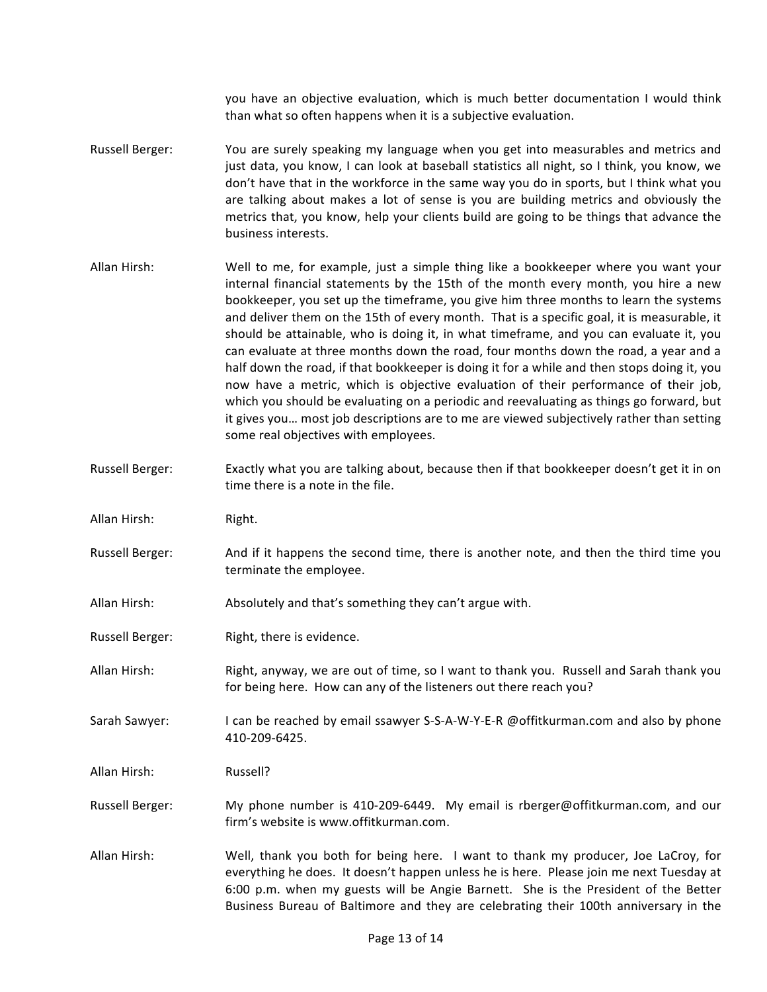you have an objective evaluation, which is much better documentation I would think than what so often happens when it is a subjective evaluation.

- Russell Berger: You are surely speaking my language when you get into measurables and metrics and just data, you know, I can look at baseball statistics all night, so I think, you know, we don't have that in the workforce in the same way you do in sports, but I think what you are talking about makes a lot of sense is you are building metrics and obviously the metrics that, you know, help your clients build are going to be things that advance the business interests.
- Allan Hirsh: Well to me, for example, just a simple thing like a bookkeeper where you want your internal financial statements by the 15th of the month every month, you hire a new bookkeeper, you set up the timeframe, you give him three months to learn the systems and deliver them on the 15th of every month. That is a specific goal, it is measurable, it should be attainable, who is doing it, in what timeframe, and you can evaluate it, you can evaluate at three months down the road, four months down the road, a year and a half down the road, if that bookkeeper is doing it for a while and then stops doing it, you now have a metric, which is objective evaluation of their performance of their job, which you should be evaluating on a periodic and reevaluating as things go forward, but it gives you... most job descriptions are to me are viewed subjectively rather than setting some real objectives with employees.
- Russell Berger: Exactly what you are talking about, because then if that bookkeeper doesn't get it in on time there is a note in the file.
- Allan Hirsh: Right.
- Russell Berger: And if it happens the second time, there is another note, and then the third time you terminate the employee.
- Allan Hirsh: Absolutely and that's something they can't argue with.
- Russell Berger: Right, there is evidence.
- Allan Hirsh: Right, anyway, we are out of time, so I want to thank you. Russell and Sarah thank you for being here. How can any of the listeners out there reach you?
- Sarah Sawyer: I can be reached by email ssawyer S-S-A-W-Y-E-R @offitkurman.com and also by phone 410-209-6425.
- Allan Hirsh: Russell?
- Russell Berger: My phone number is 410-209-6449. My email is rberger@offitkurman.com, and our firm's website is www.offitkurman.com.
- Allan Hirsh: Well, thank you both for being here. I want to thank my producer, Joe LaCroy, for everything he does. It doesn't happen unless he is here. Please join me next Tuesday at 6:00 p.m. when my guests will be Angie Barnett. She is the President of the Better Business Bureau of Baltimore and they are celebrating their 100th anniversary in the